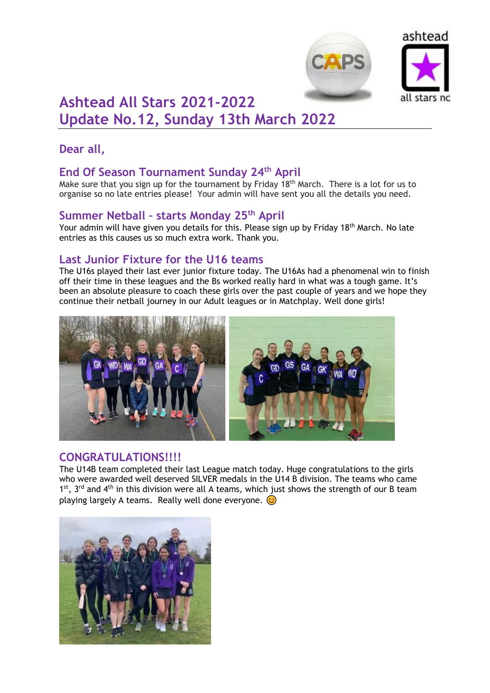



# **Ashtead All Stars 2021-2022 Update No.12, Sunday 13th March 2022**

# **Dear all,**

## **End Of Season Tournament Sunday 24th April**

Make sure that you sign up for the tournament by Friday 18<sup>th</sup> March. There is a lot for us to organise so no late entries please! Your admin will have sent you all the details you need.

## **Summer Netball – starts Monday 25th April**

Your admin will have given you details for this. Please sign up by Friday 18<sup>th</sup> March. No late entries as this causes us so much extra work. Thank you.

#### **Last Junior Fixture for the U16 teams**

The U16s played their last ever junior fixture today. The U16As had a phenomenal win to finish off their time in these leagues and the Bs worked really hard in what was a tough game. It's been an absolute pleasure to coach these girls over the past couple of years and we hope they continue their netball journey in our Adult leagues or in Matchplay. Well done girls!



#### **CONGRATULATIONS!!!!**

The U14B team completed their last League match today. Huge congratulations to the girls who were awarded well deserved SILVER medals in the U14 B division. The teams who came 1<sup>st</sup>, 3<sup>rd</sup> and 4<sup>th</sup> in this division were all A teams, which just shows the strength of our B team playing largely A teams. Really well done everyone.  $\odot$ 

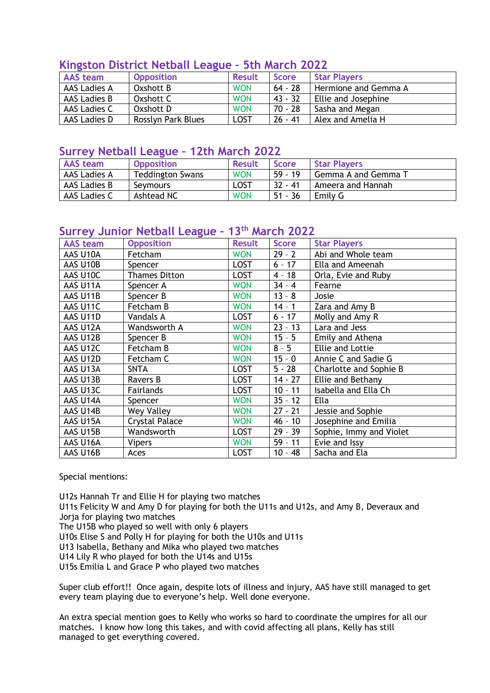| <u> Nilizstofi District Netball League - Juli Marchi ZUZZ</u> |                    |               |              |                      |
|---------------------------------------------------------------|--------------------|---------------|--------------|----------------------|
| <b>AAS</b> team                                               | <b>Opposition</b>  | <b>Result</b> | <b>Score</b> | <b>Star Players</b>  |
| AAS Ladies A                                                  | Oxshott B          | <b>WON</b>    | $64 - 28$    | Hermione and Gemma A |
| AAS Ladies B                                                  | Oxshott C          | <b>WON</b>    | 43 - 32      | Ellie and Josephine  |
| AAS Ladies C                                                  | Oxshott D          | <b>WON</b>    | $70 - 28$    | Sasha and Megan      |
| AAS Ladies D                                                  | Rosslyn Park Blues | <b>LOST</b>   | $26 - 41$    | Alex and Amelia H    |

#### **Kingston District Netball League – 5th March 2022**

#### **Surrey Netball League – 12th March 2022**

| <b>AAS team</b> | <b>Opposition</b>       | <b>Result</b> | Score     | <b>Star Players</b> |
|-----------------|-------------------------|---------------|-----------|---------------------|
| AAS Ladies A    | <b>Teddington Swans</b> | <b>WON</b>    | $59 - 19$ | Gemma A and Gemma T |
| AAS Ladies B    | Seymours                | LOST          | $32 - 41$ | Ameera and Hannah   |
| AAS Ladies C    | Ashtead NC              | <b>WON</b>    | $51 - 36$ | Emily G             |

## **Surrey Junior Netball League – 13th March 2022**

| <b>AAS</b> team | <b>Opposition</b>     | <b>Result</b> | <b>Score</b> | <b>Star Players</b>     |
|-----------------|-----------------------|---------------|--------------|-------------------------|
| AAS U10A        | Fetcham               | <b>WON</b>    | $29 - 2$     | Abi and Whole team      |
| AAS U10B        | Spencer               | <b>LOST</b>   | $6 - 17$     | Ella and Ameenah        |
| AAS U10C        | <b>Thames Ditton</b>  | <b>LOST</b>   | $4 - 18$     | Orla, Evie and Ruby     |
| AAS U11A        | Spencer A             | <b>WON</b>    | $34 - 4$     | Fearne                  |
| AAS U11B        | Spencer B             | <b>WON</b>    | $13 - 8$     | Josie                   |
| AAS U11C        | Fetcham B             | <b>WON</b>    | $14 - 1$     | Zara and Amy B          |
| AAS U11D        | Vandals A             | <b>LOST</b>   | $6 - 17$     | Molly and Amy R         |
| AAS U12A        | Wandsworth A          | <b>WON</b>    | $23 - 13$    | Lara and Jess           |
| AAS U12B        | Spencer B             | <b>WON</b>    | $15 - 5$     | Emily and Athena        |
| AAS U12C        | Fetcham B             | <b>WON</b>    | $8 - 5$      | <b>Ellie and Lottie</b> |
| AAS U12D        | Fetcham C             | <b>WON</b>    | $15 - 0$     | Annie C and Sadie G     |
| AAS U13A        | <b>SNTA</b>           | <b>LOST</b>   | $5 - 28$     | Charlotte and Sophie B  |
| AAS U13B        | Ravers B              | <b>LOST</b>   | $14 - 27$    | Ellie and Bethany       |
| AAS U13C        | Fairlands             | <b>LOST</b>   | $10 - 11$    | Isabella and Ella Ch    |
| AAS U14A        | Spencer               | <b>WON</b>    | $35 - 12$    | Ella                    |
| AAS U14B        | Wey Valley            | <b>WON</b>    | $27 - 21$    | Jessie and Sophie       |
| AAS U15A        | <b>Crystal Palace</b> | <b>WON</b>    | $46 - 10$    | Josephine and Emilia    |
| AAS U15B        | Wandsworth            | <b>LOST</b>   | $29 - 39$    | Sophie, Immy and Violet |
| AAS U16A        | <b>Vipers</b>         | <b>WON</b>    | $59 - 11$    | Evie and Issy           |
| AAS U16B        | Aces                  | <b>LOST</b>   | $10 - 48$    | Sacha and Ela           |

Special mentions:

U12s Hannah Tr and Ellie H for playing two matches U11s Felicity W and Amy D for playing for both the U11s and U12s, and Amy B, Deveraux and Jorja for playing two matches

The U15B who played so well with only 6 players

U10s Elise S and Polly H for playing for both the U10s and U11s

U13 Isabella, Bethany and Mika who played two matches

U14 Lily R who played for both the U14s and U15s

U15s Emilia L and Grace P who played two matches

Super club effort!! Once again, despite lots of illness and injury, AAS have still managed to get every team playing due to everyone's help. Well done everyone.

An extra special mention goes to Kelly who works so hard to coordinate the umpires for all our matches. I know how long this takes, and with covid affecting all plans, Kelly has still managed to get everything covered.